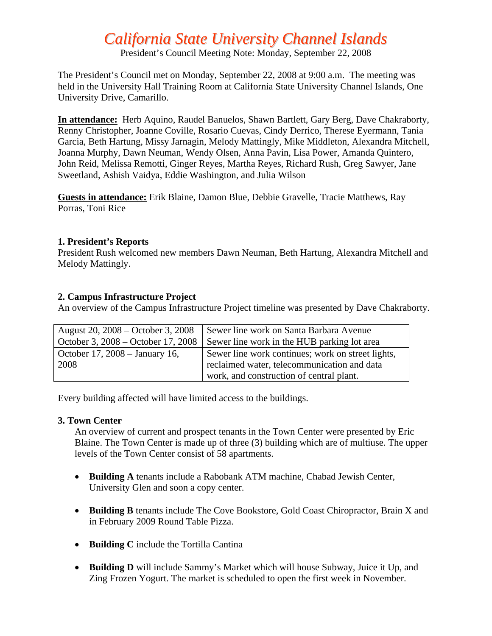# *California State University Channel Islands*

President's Council Meeting Note: Monday, September 22, 2008

The President's Council met on Monday, September 22, 2008 at 9:00 a.m. The meeting was held in the University Hall Training Room at California State University Channel Islands, One University Drive, Camarillo.

**In attendance:** Herb Aquino, Raudel Banuelos, Shawn Bartlett, Gary Berg, Dave Chakraborty, Renny Christopher, Joanne Coville, Rosario Cuevas, Cindy Derrico, Therese Eyermann, Tania Garcia, Beth Hartung, Missy Jarnagin, Melody Mattingly, Mike Middleton, Alexandra Mitchell, Joanna Murphy, Dawn Neuman, Wendy Olsen, Anna Pavin, Lisa Power, Amanda Quintero, John Reid, Melissa Remotti, Ginger Reyes, Martha Reyes, Richard Rush, Greg Sawyer, Jane Sweetland, Ashish Vaidya, Eddie Washington, and Julia Wilson

**Guests in attendance:** Erik Blaine, Damon Blue, Debbie Gravelle, Tracie Matthews, Ray Porras, Toni Rice

#### **1. President's Reports**

President Rush welcomed new members Dawn Neuman, Beth Hartung, Alexandra Mitchell and Melody Mattingly.

#### **2. Campus Infrastructure Project**

An overview of the Campus Infrastructure Project timeline was presented by Dave Chakraborty.

| August 20, 2008 – October 3, 2008  | Sewer line work on Santa Barbara Avenue           |
|------------------------------------|---------------------------------------------------|
| October 3, 2008 – October 17, 2008 | Sewer line work in the HUB parking lot area       |
| October 17, 2008 – January 16,     | Sewer line work continues; work on street lights, |
| 2008                               | reclaimed water, telecommunication and data       |
|                                    | work, and construction of central plant.          |

Every building affected will have limited access to the buildings.

#### **3. Town Center**

An overview of current and prospect tenants in the Town Center were presented by Eric Blaine. The Town Center is made up of three (3) building which are of multiuse. The upper levels of the Town Center consist of 58 apartments.

- **Building A** tenants include a Rabobank ATM machine, Chabad Jewish Center, University Glen and soon a copy center.
- **Building B** tenants include The Cove Bookstore, Gold Coast Chiropractor, Brain X and in February 2009 Round Table Pizza.
- **Building C** include the Tortilla Cantina
- **Building D** will include Sammy's Market which will house Subway, Juice it Up, and Zing Frozen Yogurt. The market is scheduled to open the first week in November.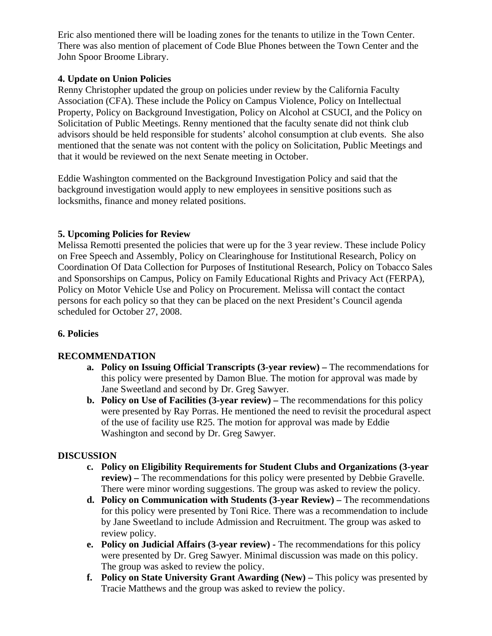Eric also mentioned there will be loading zones for the tenants to utilize in the Town Center. There was also mention of placement of Code Blue Phones between the Town Center and the John Spoor Broome Library.

# **4. Update on Union Policies**

Renny Christopher updated the group on policies under review by the California Faculty Association (CFA). These include the Policy on Campus Violence, Policy on Intellectual Property, Policy on Background Investigation, Policy on Alcohol at CSUCI, and the Policy on Solicitation of Public Meetings. Renny mentioned that the faculty senate did not think club advisors should be held responsible for students' alcohol consumption at club events. She also mentioned that the senate was not content with the policy on Solicitation, Public Meetings and that it would be reviewed on the next Senate meeting in October.

Eddie Washington commented on the Background Investigation Policy and said that the background investigation would apply to new employees in sensitive positions such as locksmiths, finance and money related positions.

# **5. Upcoming Policies for Review**

Melissa Remotti presented the policies that were up for the 3 year review. These include Policy on Free Speech and Assembly, Policy on Clearinghouse for Institutional Research, Policy on Coordination Of Data Collection for Purposes of Institutional Research, Policy on Tobacco Sales and Sponsorships on Campus, Policy on Family Educational Rights and Privacy Act (FERPA), Policy on Motor Vehicle Use and Policy on Procurement. Melissa will contact the contact persons for each policy so that they can be placed on the next President's Council agenda scheduled for October 27, 2008.

## **6. Policies**

# **RECOMMENDATION**

- **a. Policy on Issuing Official Transcripts (3-year review)** The recommendations for this policy were presented by Damon Blue. The motion for approval was made by Jane Sweetland and second by Dr. Greg Sawyer.
- **b. Policy on Use of Facilities (3-year review)** The recommendations for this policy were presented by Ray Porras. He mentioned the need to revisit the procedural aspect of the use of facility use R25. The motion for approval was made by Eddie Washington and second by Dr. Greg Sawyer.

## **DISCUSSION**

- **c. Policy on Eligibility Requirements for Student Clubs and Organizations (3-year review) –** The recommendations for this policy were presented by Debbie Gravelle. There were minor wording suggestions. The group was asked to review the policy.
- **d. Policy on Communication with Students (3-year Review)** The recommendations for this policy were presented by Toni Rice. There was a recommendation to include by Jane Sweetland to include Admission and Recruitment. The group was asked to review policy.
- **e. Policy on Judicial Affairs (3-year review)** The recommendations for this policy were presented by Dr. Greg Sawyer. Minimal discussion was made on this policy. The group was asked to review the policy.
- **f.** Policy on State University Grant Awarding (New) This policy was presented by Tracie Matthews and the group was asked to review the policy.